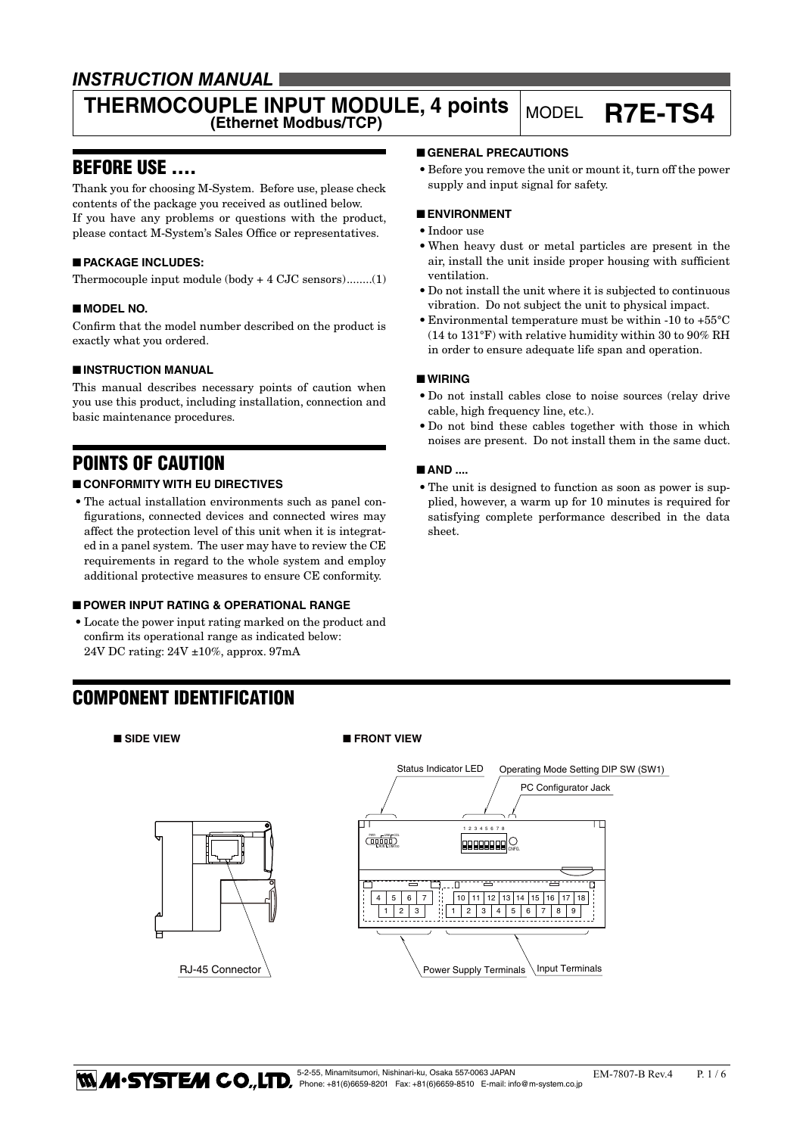### *INSTRUCTION MANUAL*

# **THERMOCOUPLE INPUT MODULE, 4 points** MODEL **R7E-TS4**

### BEFORE USE ....

Thank you for choosing M-System. Before use, please check contents of the package you received as outlined below. If you have any problems or questions with the product, please contact M-System's Sales Office or representatives.

### ■ **PACKAGE INCLUDES:**

Thermocouple input module (body + 4 CJC sensors)........(1)

### ■ **MODEL NO.**

Confirm that the model number described on the product is exactly what you ordered.

#### ■ **INSTRUCTION MANUAL**

This manual describes necessary points of caution when you use this product, including installation, connection and basic maintenance procedures.

### POINTS OF CAUTION

### ■ **CONFORMITY WITH EU DIRECTIVES**

• The actual installation environments such as panel configurations, connected devices and connected wires may affect the protection level of this unit when it is integrated in a panel system. The user may have to review the CE requirements in regard to the whole system and employ additional protective measures to ensure CE conformity.

#### ■ **POWER INPUT RATING & OPERATIONAL RANGE**

• Locate the power input rating marked on the product and confirm its operational range as indicated below: 24V DC rating: 24V ±10%, approx. 97mA

RJ-45 Connector

# ■ **GENERAL PRECAUTIONS**

• Before you remove the unit or mount it, turn off the power supply and input signal for safety.

#### ■ **ENVIRONMENT**

- • Indoor use
- When heavy dust or metal particles are present in the air, install the unit inside proper housing with sufficient ventilation.
- Do not install the unit where it is subjected to continuous vibration. Do not subject the unit to physical impact.
- Environmental temperature must be within -10 to  $+55^{\circ}$ C (14 to 131°F) with relative humidity within 30 to 90% RH in order to ensure adequate life span and operation.

#### ■ **WIRING**

- • Do not install cables close to noise sources (relay drive cable, high frequency line, etc.).
- • Do not bind these cables together with those in which noises are present. Do not install them in the same duct.

#### ■ **AND** ....

• The unit is designed to function as soon as power is supplied, however, a warm up for 10 minutes is required for satisfying complete performance described in the data sheet.

### COMPONENT IDENTIFICATION

#### ■ SIDE VIEW ■ FRONT VIEW

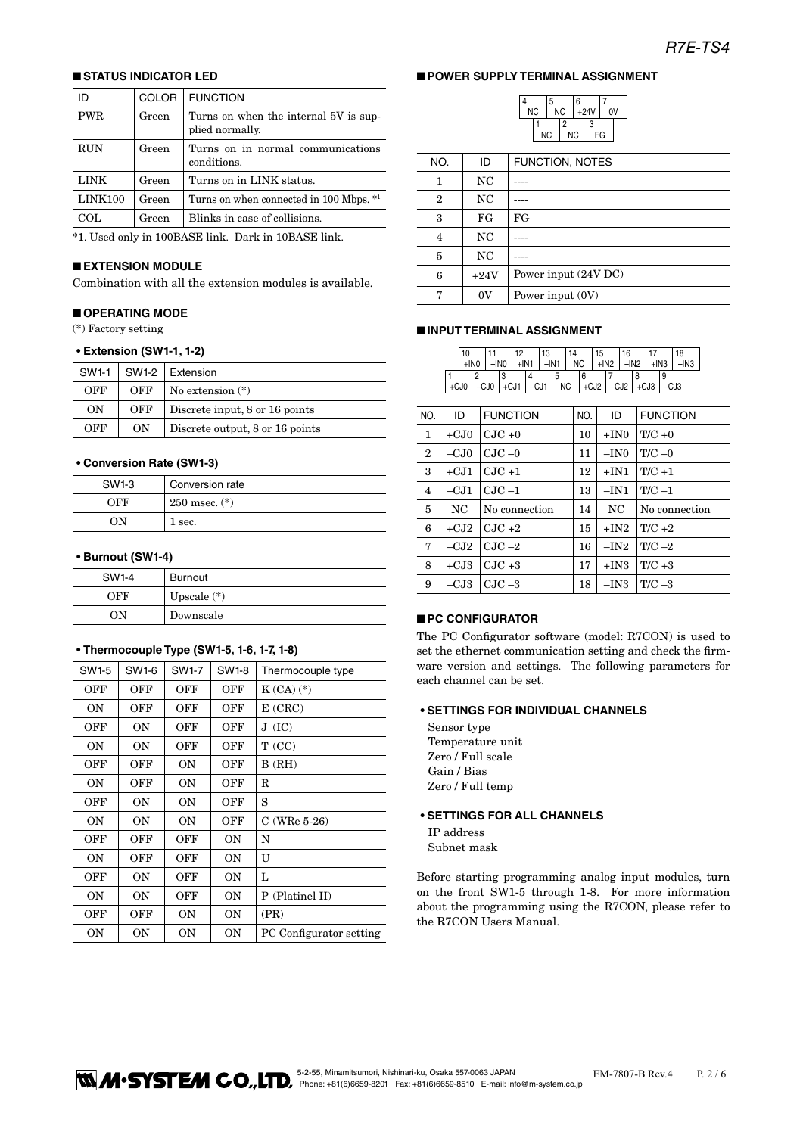#### ■ **STATUS INDICATOR LED**

| ID         | <b>COLOR</b> | <b>FUNCTION</b>                                          |
|------------|--------------|----------------------------------------------------------|
| <b>PWR</b> | Green        | Turns on when the internal 5V is sup-<br>plied normally. |
| <b>RUN</b> | Green        | Turns on in normal communications<br>conditions.         |
| LINK       | Green        | Turns on in LINK status.                                 |
| LINK100    | Green        | Turns on when connected in 100 Mbps. *1                  |
| COL.       | Green        | Blinks in case of collisions.                            |
|            |              |                                                          |

\*1. Used only in 100BASE link. Dark in 10BASE link.

#### ■ **EXTENSION MODULE**

Combination with all the extension modules is available.

#### ■ **OPERATING MODE**

(\*) Factory setting

#### **• Extension (SW1-1, 1-2)**

| SW1-1 |     | $SW1-2$ Extension               |  |
|-------|-----|---------------------------------|--|
| OFF   | OFF | No extension $(*)$              |  |
| ON    | OFF | Discrete input, 8 or 16 points  |  |
| OFF   | ON  | Discrete output, 8 or 16 points |  |

#### **• Conversion Rate (SW1-3)**

| SW1-3 | Conversion rate   |  |
|-------|-------------------|--|
| OEE   | $250$ msec. $(*)$ |  |
| ON.   | 1 sec.            |  |

#### **• Burnout (SW1-4)**

| SW1-4 | Burnout       |
|-------|---------------|
| OFF   | Upscale $(*)$ |
| ON    | Downscale     |

#### **• Thermocouple Type (SW1-5, 1-6, 1-7, 1-8)**

| SW1-5 | SW1-6 | SW1-7     | SW1-8     | Thermocouple type       |
|-------|-------|-----------|-----------|-------------------------|
| OFF   | OFF   | OFF       | OFF       | $K(CA)$ $(*)$           |
| 0N    | OFF   | OFF       | OFF       | $E$ (CRC)               |
| OFF   | OΝ    | OFF       | OFF       | J(IC)                   |
| 0N    | ΟN    | OFF       | OFF       | T(CC)                   |
| OFF   | OFF   | OΝ        | OFF       | B(RH)                   |
| 0N    | OFF   | OΝ        | OFF       | R                       |
| OFF   | ΟN    | OΝ        | OFF       | S                       |
| ΟN    | ΟN    | OΝ        | OFF       | $C$ (WRe 5-26)          |
| OFF   | OFF   | OFF       | 0N        | N                       |
| ΟN    | OFF   | OFF       | 0N        | U                       |
| OFF   | 0N    | OFF       | <b>ON</b> | L                       |
| ΟN    | ΟN    | OFF       | 0N        | P (Platinel II)         |
| OFF   | OFF   | 0N        | 0N        | (PR)                    |
| ΟN    | ΟN    | <b>ON</b> | 0N        | PC Configurator setting |

### ■ **POWER SUPPLY TERMINAL ASSIGNMENT**

4

|    | 5  |    | 6      |   |    |  |
|----|----|----|--------|---|----|--|
| ΝC | ΝC |    | $+24V$ |   | 0V |  |
|    |    | 2  |        | 3 |    |  |
| ΝC |    | ΝC |        |   | FG |  |

| NO.          | ID      | <b>FUNCTION, NOTES</b> |
|--------------|---------|------------------------|
| 1            | NC      |                        |
| $\mathbf{2}$ | NC      |                        |
| 3            | FG      | FG                     |
| 4            | NC      |                        |
| 5            | NC      |                        |
| 6            | $+24V$  | Power input (24V DC)   |
| π,           | $_{0V}$ | Power input (0V)       |

#### ■ **INPUT TERMINAL ASSIGNMENT**

|                |              | 10     | 11                | 12               | 13     | 14        | 15           | 16     | 17              | 18            |
|----------------|--------------|--------|-------------------|------------------|--------|-----------|--------------|--------|-----------------|---------------|
|                |              | $+1N0$ | $-INO$            | $+$ IN1          | $-IN1$ | NC        | $+IN2$       | $-IN2$ | $+$ IN3         | $-IN3$        |
|                | $\mathbf{1}$ | 2      | 3                 | 4                | 5      | 6         | 7            | 8      | 9               |               |
|                |              | $+CJ0$ | $-CJ0$            | $+CJ1$<br>$-CJ1$ |        | <b>NC</b> | +CJ2 -CJ2    |        | $+CJ3$          | $-CJ3$        |
|                |              |        |                   |                  |        |           |              |        |                 |               |
| NO.            |              | ID     | <b>FUNCTION</b>   |                  |        | NO.       | ID           |        | <b>FUNCTION</b> |               |
| $\mathbf{1}$   |              | $+CJ0$ | $C\text{-}IC + 0$ |                  |        | 10        | $+IN0$       |        | $T/C +0$        |               |
| $^{2}$         |              | $-CJ0$ | $C$ JC $-0$       |                  |        | 11        | $-$ IN $0$   |        | $T/C = 0$       |               |
| 3              |              | $+CJ1$ | $CoIC +1$         |                  |        | 12        | $+IN1$       |        | $T/C + 1$       |               |
| $\overline{4}$ |              | $-CJ1$ | $C1C-1$           |                  |        | 13        | $-IN1$       |        | $T/C-1$         |               |
| 5              |              | NC     | No connection     |                  |        | 14        | NC           |        |                 | No connection |
| 6              |              | $+CJ2$ | $CJC +2$          |                  |        | 15        | $+IN2$       |        | $T/C + 2$       |               |
| 7              |              | $-CJ2$ | $CJC -2$          |                  |        | 16        | $-{\rm IN}2$ |        | T/C $-2$        |               |
| 8              |              | $+CJ3$ | $C1C + 3$         |                  |        | 17        | $+IN3$       |        | $T/C + 3$       |               |
| 9              |              | $-CJ3$ | $CJC -3$          |                  |        | 18        | $-IN3$       |        | T/C $-3$        |               |

#### ■ **PC CONFIGURATOR**

The PC Configurator software (model: R7CON) is used to set the ethernet communication setting and check the firmware version and settings. The following parameters for each channel can be set.

#### **• SETTINGS FOR INDIVIDUAL CHANNELS**

Sensor type Temperature unit Zero / Full scale Gain / Bias Zero / Full temp

#### **• SETTINGS FOR ALL CHANNELS**

IP address Subnet mask

Before starting programming analog input modules, turn on the front SW1-5 through 1-8. For more information about the programming using the R7CON, please refer to the R7CON Users Manual.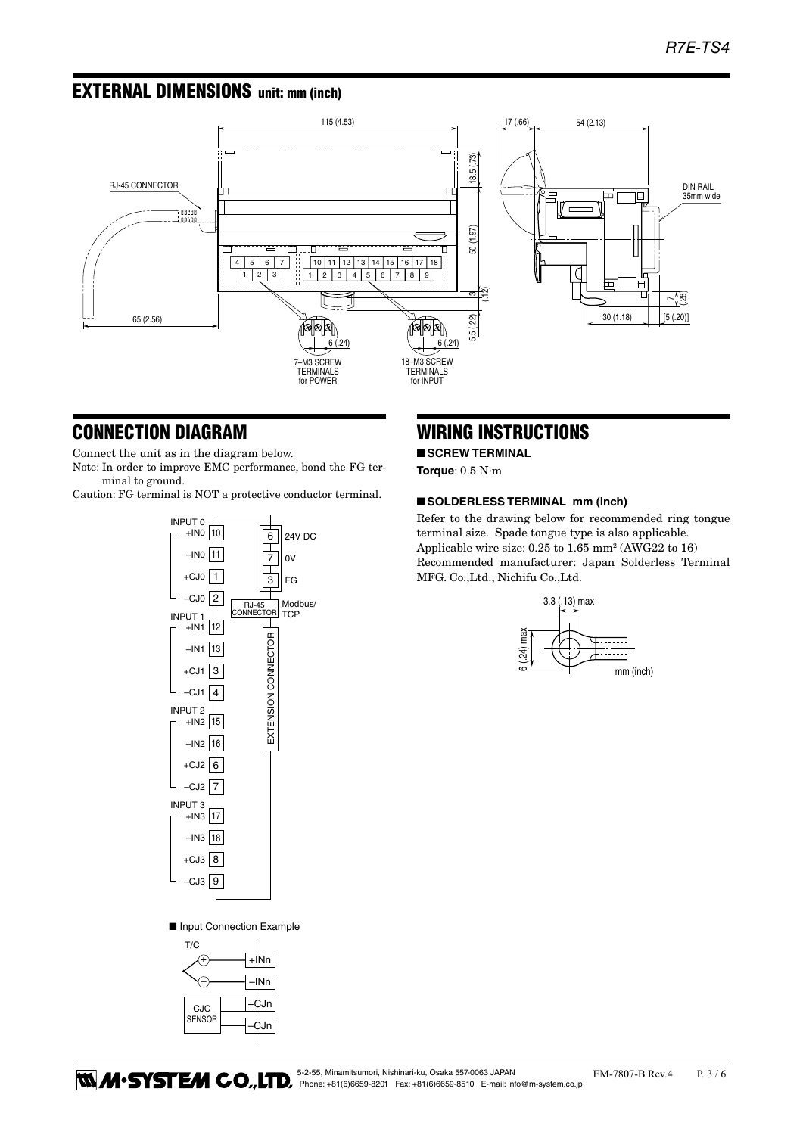### EXTERNAL DIMENSIONS unit: mm (inch)



### CONNECTION DIAGRAM

Connect the unit as in the diagram below.

Note: In order to improve EMC performance, bond the FG terminal to ground.

Caution: FG terminal is NOT a protective conductor terminal.



■ Input Connection Example



EXTENSION CONNECTOR

## WIRING INSTRUCTIONS

### ■ **SCREW TERMINAL**

**Torque**: 0.5 N·m

#### ■ **SOLDERLESS TERMINAL** mm (inch)

Refer to the drawing below for recommended ring tongue Applicable wire size:  $0.25$  to  $1.65$  mm<sup>2</sup> (AWG22 to  $16$ ) MFG. Co.,Ltd., Nichifu Co.,Ltd. terminal size. Spade tongue type is also applicable. Recommended manufacturer: Japan Solderless Terminal

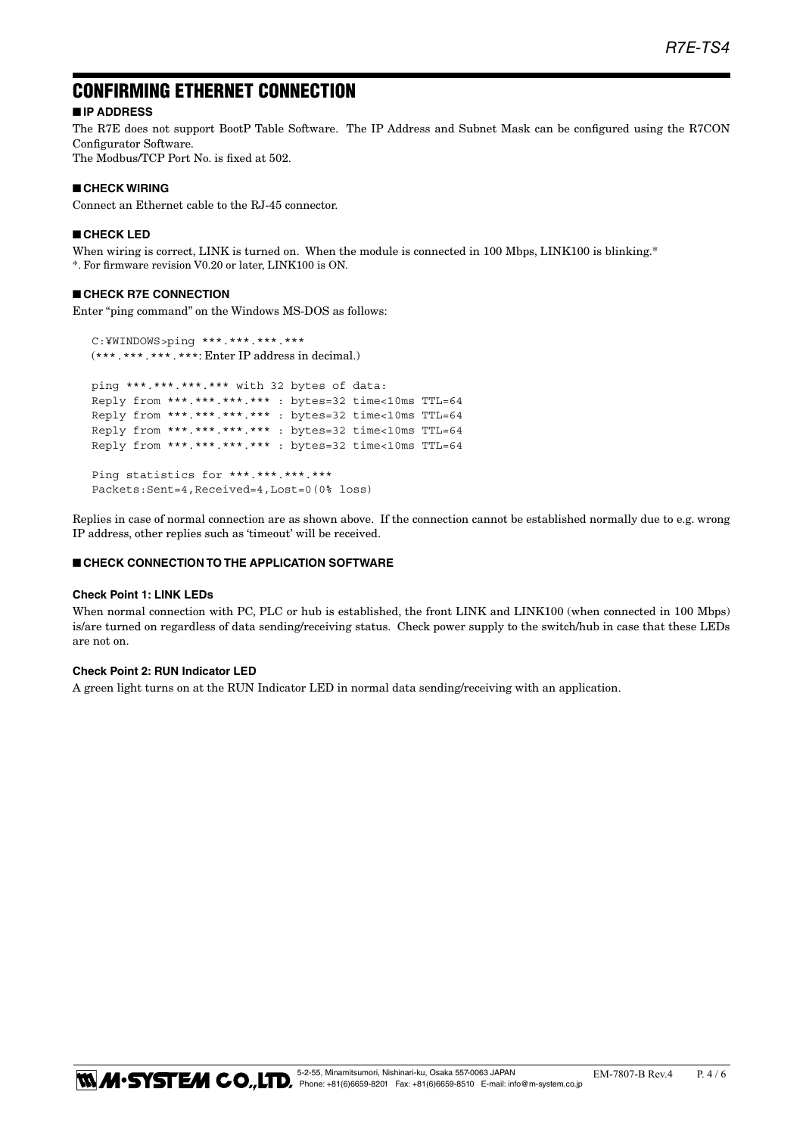### CONFIRMING ETHERNET CONNECTION

### ■ **IP ADDRESS**

The R7E does not support BootP Table Software. The IP Address and Subnet Mask can be configured using the R7CON Configurator Software.

The Modbus/TCP Port No. is fixed at 502.

#### ■ **CHECK WIRING**

Connect an Ethernet cable to the RJ-45 connector.

#### ■ **CHECK LED**

When wiring is correct, LINK is turned on. When the module is connected in 100 Mbps, LINK100 is blinking.\* \*. For firmware revision V0.20 or later, LINK100 is ON.

#### ■ **CHECK R7E CONNECTION**

Enter "ping command" on the Windows MS-DOS as follows:

 C:¥WINDOWS>ping \*\*\*.\*\*\*.\*\*\*.\*\*\* (\*\*\*.\*\*\*.\*\*\*.\*\*\*: Enter IP address in decimal.) ping \*\*\*.\*\*\*.\*\*\*.\*\*\* with 32 bytes of data: Reply from \*\*\*.\*\*\*.\*\*\*.\*\*\* : bytes=32 time<10ms TTL=64 Reply from \*\*\*.\*\*\*.\*\*\*.\*\*\* : bytes=32 time<10ms TTL=64 Reply from \*\*\*.\*\*\*.\*\*\*.\*\*\* : bytes=32 time<10ms TTL=64 Reply from \*\*\*.\*\*\*.\*\*\*.\*\*\* : bytes=32 time<10ms TTL=64 Ping statistics for \*\*\*.\*\*\*.\*\*\*.\*\*\*

Packets:Sent=4,Received=4,Lost=0(0% loss)

Replies in case of normal connection are as shown above. If the connection cannot be established normally due to e.g. wrong IP address, other replies such as 'timeout' will be received.

#### ■ **CHECK CONNECTION TO THE APPLICATION SOFTWARE**

#### **Check Point 1: LINK LEDs**

When normal connection with PC, PLC or hub is established, the front LINK and LINK100 (when connected in 100 Mbps) is/are turned on regardless of data sending/receiving status. Check power supply to the switch/hub in case that these LEDs are not on.

#### **Check Point 2: RUN Indicator LED**

A green light turns on at the RUN Indicator LED in normal data sending/receiving with an application.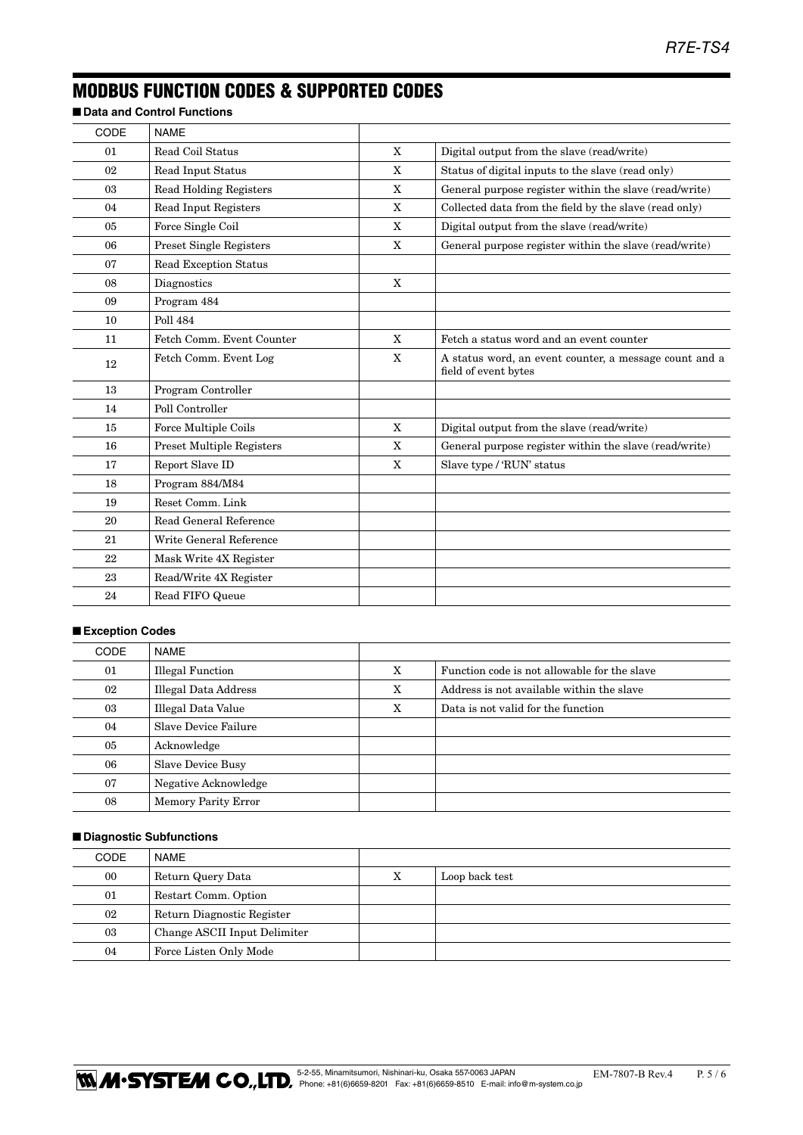### MODBUS FUNCTION CODES & SUPPORTED CODES

■ **Data and Control Functions** 

| <b>NAME</b>                      |              |                                                                                |
|----------------------------------|--------------|--------------------------------------------------------------------------------|
| Read Coil Status                 | $\mathbf{X}$ | Digital output from the slave (read/write)                                     |
| Read Input Status                | X            | Status of digital inputs to the slave (read only)                              |
| <b>Read Holding Registers</b>    | X            | General purpose register within the slave (read/write)                         |
| Read Input Registers             | X            | Collected data from the field by the slave (read only)                         |
| Force Single Coil                | X            | Digital output from the slave (read/write)                                     |
| Preset Single Registers          | X            | General purpose register within the slave (read/write)                         |
| <b>Read Exception Status</b>     |              |                                                                                |
| Diagnostics                      | X            |                                                                                |
| Program 484                      |              |                                                                                |
| <b>Poll 484</b>                  |              |                                                                                |
| Fetch Comm. Event Counter        | X            | Fetch a status word and an event counter                                       |
| Fetch Comm. Event Log            | X            | A status word, an event counter, a message count and a<br>field of event bytes |
| Program Controller               |              |                                                                                |
| Poll Controller                  |              |                                                                                |
| Force Multiple Coils             | $\mathbf{X}$ | Digital output from the slave (read/write)                                     |
| <b>Preset Multiple Registers</b> | X            | General purpose register within the slave (read/write)                         |
| Report Slave ID                  | X            | Slave type / 'RUN' status                                                      |
| Program 884/M84                  |              |                                                                                |
| Reset Comm. Link                 |              |                                                                                |
| Read General Reference           |              |                                                                                |
| Write General Reference          |              |                                                                                |
| Mask Write 4X Register           |              |                                                                                |
| Read/Write 4X Register           |              |                                                                                |
| Read FIFO Queue                  |              |                                                                                |
|                                  |              |                                                                                |

### ■ **Exception Codes**

| <b>CODE</b> | NAME                       |   |                                              |
|-------------|----------------------------|---|----------------------------------------------|
| 01          | <b>Illegal Function</b>    | X | Function code is not allowable for the slave |
| 02          | Illegal Data Address       | X | Address is not available within the slave    |
| 03          | Illegal Data Value         | X | Data is not valid for the function           |
| 04          | Slave Device Failure       |   |                                              |
| 05          | Acknowledge                |   |                                              |
| 06          | <b>Slave Device Busy</b>   |   |                                              |
| 07          | Negative Acknowledge       |   |                                              |
| 08          | <b>Memory Parity Error</b> |   |                                              |

#### ■ **Diagnostic Subfunctions**

| CODE | NAME                         |   |                |
|------|------------------------------|---|----------------|
| 00   | Return Query Data            | х | Loop back test |
| 01   | Restart Comm. Option         |   |                |
| 02   | Return Diagnostic Register   |   |                |
| 03   | Change ASCII Input Delimiter |   |                |
| 04   | Force Listen Only Mode       |   |                |